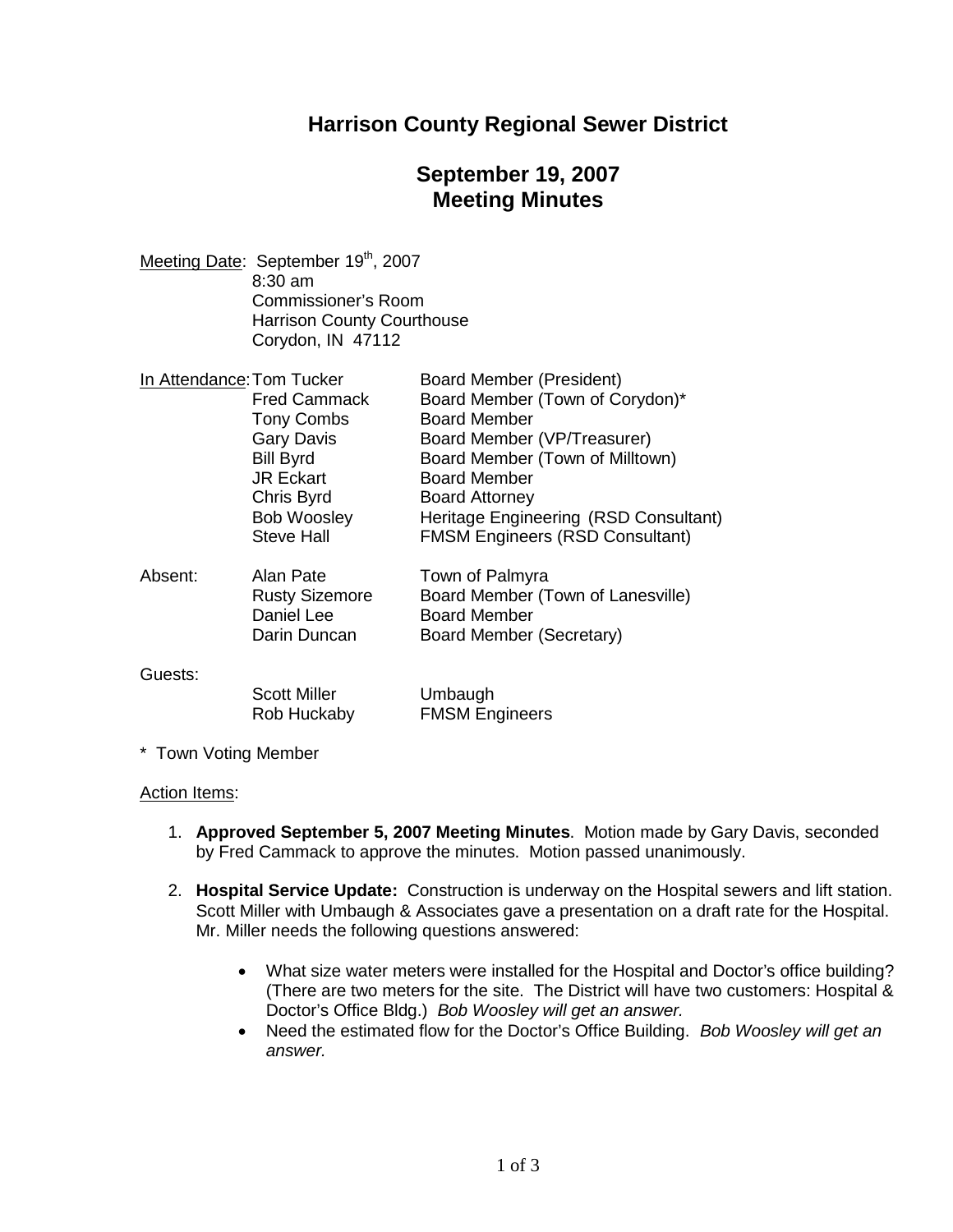### **Harrison County Regional Sewer District**

# **September 19, 2007 Meeting Minutes**

Meeting Date: September 19<sup>th</sup>, 2007 8:30 am Commissioner's Room Harrison County Courthouse Corydon, IN 47112

| In Attendance: Tom Tucker |                       | Board Member (President)               |
|---------------------------|-----------------------|----------------------------------------|
|                           | Fred Cammack          | Board Member (Town of Corydon)*        |
|                           | <b>Tony Combs</b>     | <b>Board Member</b>                    |
|                           | <b>Gary Davis</b>     | Board Member (VP/Treasurer)            |
|                           | <b>Bill Byrd</b>      | Board Member (Town of Milltown)        |
|                           | <b>JR Eckart</b>      | <b>Board Member</b>                    |
|                           | Chris Byrd            | <b>Board Attorney</b>                  |
|                           | <b>Bob Woosley</b>    | Heritage Engineering (RSD Consultant)  |
|                           | <b>Steve Hall</b>     | <b>FMSM Engineers (RSD Consultant)</b> |
| Absent:                   | Alan Pate             | Town of Palmyra                        |
|                           | <b>Rusty Sizemore</b> | Board Member (Town of Lanesville)      |
|                           | Daniel Lee            | <b>Board Member</b>                    |
|                           | Darin Duncan          | Board Member (Secretary)               |
| Guests:                   |                       |                                        |
|                           | <b>Scott Miller</b>   | Umbaugh                                |
|                           | Rob Huckaby           | <b>FMSM Engineers</b>                  |

\* Town Voting Member

#### Action Items:

- 1. **Approved September 5, 2007 Meeting Minutes**. Motion made by Gary Davis, seconded by Fred Cammack to approve the minutes. Motion passed unanimously.
- 2. **Hospital Service Update:** Construction is underway on the Hospital sewers and lift station. Scott Miller with Umbaugh & Associates gave a presentation on a draft rate for the Hospital. Mr. Miller needs the following questions answered:
	- What size water meters were installed for the Hospital and Doctor's office building? (There are two meters for the site. The District will have two customers: Hospital & Doctor's Office Bldg.) *Bob Woosley will get an answer.*
	- Need the estimated flow for the Doctor's Office Building. *Bob Woosley will get an answer.*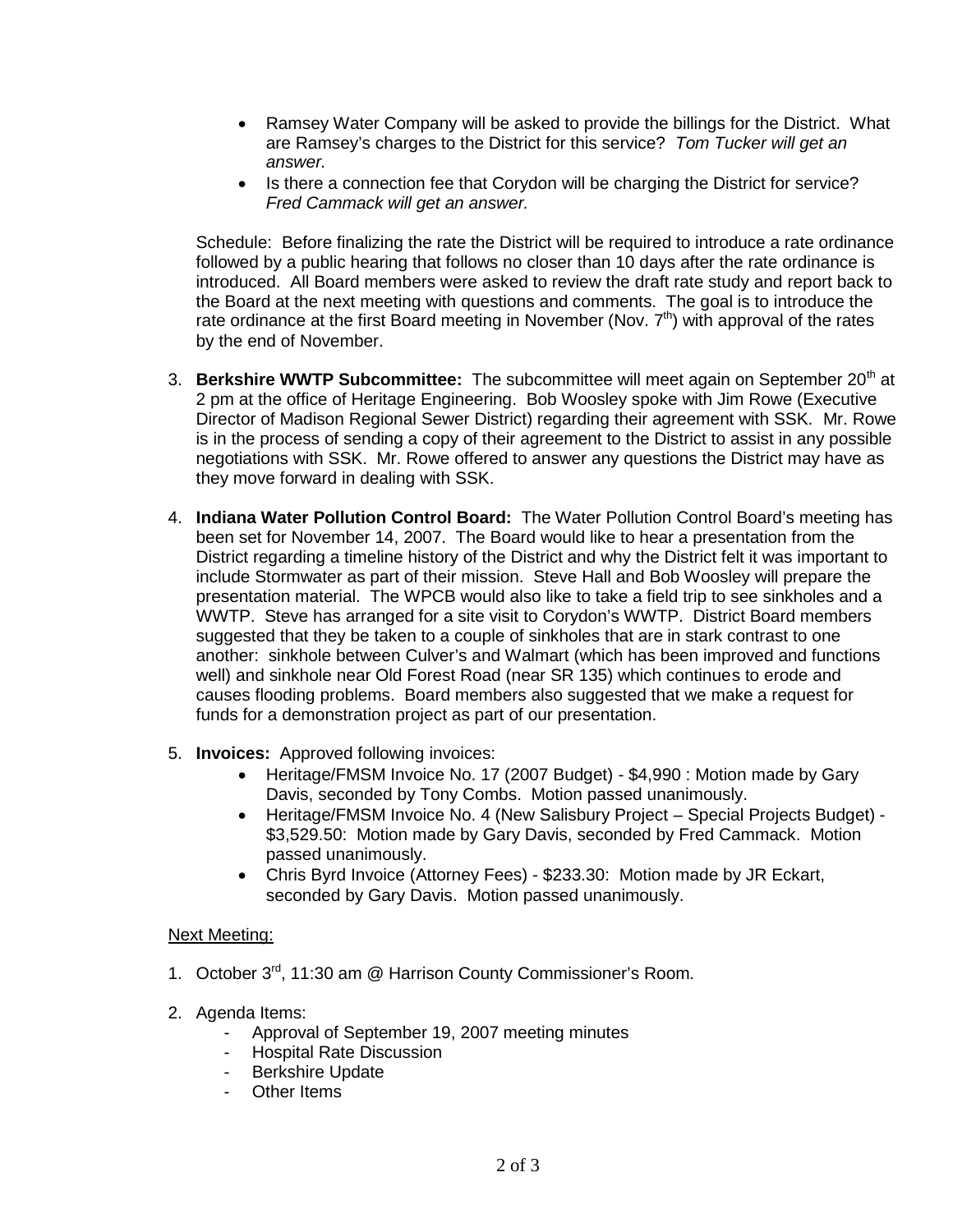- Ramsey Water Company will be asked to provide the billings for the District. What are Ramsey's charges to the District for this service? *Tom Tucker will get an answer.*
- Is there a connection fee that Corydon will be charging the District for service? *Fred Cammack will get an answer.*

Schedule: Before finalizing the rate the District will be required to introduce a rate ordinance followed by a public hearing that follows no closer than 10 days after the rate ordinance is introduced. All Board members were asked to review the draft rate study and report back to the Board at the next meeting with questions and comments. The goal is to introduce the rate ordinance at the first Board meeting in November (Nov.  $7<sup>th</sup>$ ) with approval of the rates by the end of November.

- 3. **Berkshire WWTP Subcommittee:** The subcommittee will meet again on September 20<sup>th</sup> at 2 pm at the office of Heritage Engineering. Bob Woosley spoke with Jim Rowe (Executive Director of Madison Regional Sewer District) regarding their agreement with SSK. Mr. Rowe is in the process of sending a copy of their agreement to the District to assist in any possible negotiations with SSK. Mr. Rowe offered to answer any questions the District may have as they move forward in dealing with SSK.
- 4. **Indiana Water Pollution Control Board:** The Water Pollution Control Board's meeting has been set for November 14, 2007. The Board would like to hear a presentation from the District regarding a timeline history of the District and why the District felt it was important to include Stormwater as part of their mission. Steve Hall and Bob Woosley will prepare the presentation material. The WPCB would also like to take a field trip to see sinkholes and a WWTP. Steve has arranged for a site visit to Corydon's WWTP. District Board members suggested that they be taken to a couple of sinkholes that are in stark contrast to one another: sinkhole between Culver's and Walmart (which has been improved and functions well) and sinkhole near Old Forest Road (near SR 135) which continues to erode and causes flooding problems. Board members also suggested that we make a request for funds for a demonstration project as part of our presentation.
- 5. **Invoices:** Approved following invoices:
	- Heritage/FMSM Invoice No. 17 (2007 Budget) \$4,990 : Motion made by Gary Davis, seconded by Tony Combs. Motion passed unanimously.
	- Heritage/FMSM Invoice No. 4 (New Salisbury Project Special Projects Budget) \$3,529.50: Motion made by Gary Davis, seconded by Fred Cammack. Motion passed unanimously.
	- Chris Byrd Invoice (Attorney Fees) \$233.30: Motion made by JR Eckart, seconded by Gary Davis. Motion passed unanimously.

### Next Meeting:

- 1. October 3<sup>rd</sup>, 11:30 am @ Harrison County Commissioner's Room.
- 2. Agenda Items:
	- Approval of September 19, 2007 meeting minutes
	- Hospital Rate Discussion
	- Berkshire Update
	- Other Items